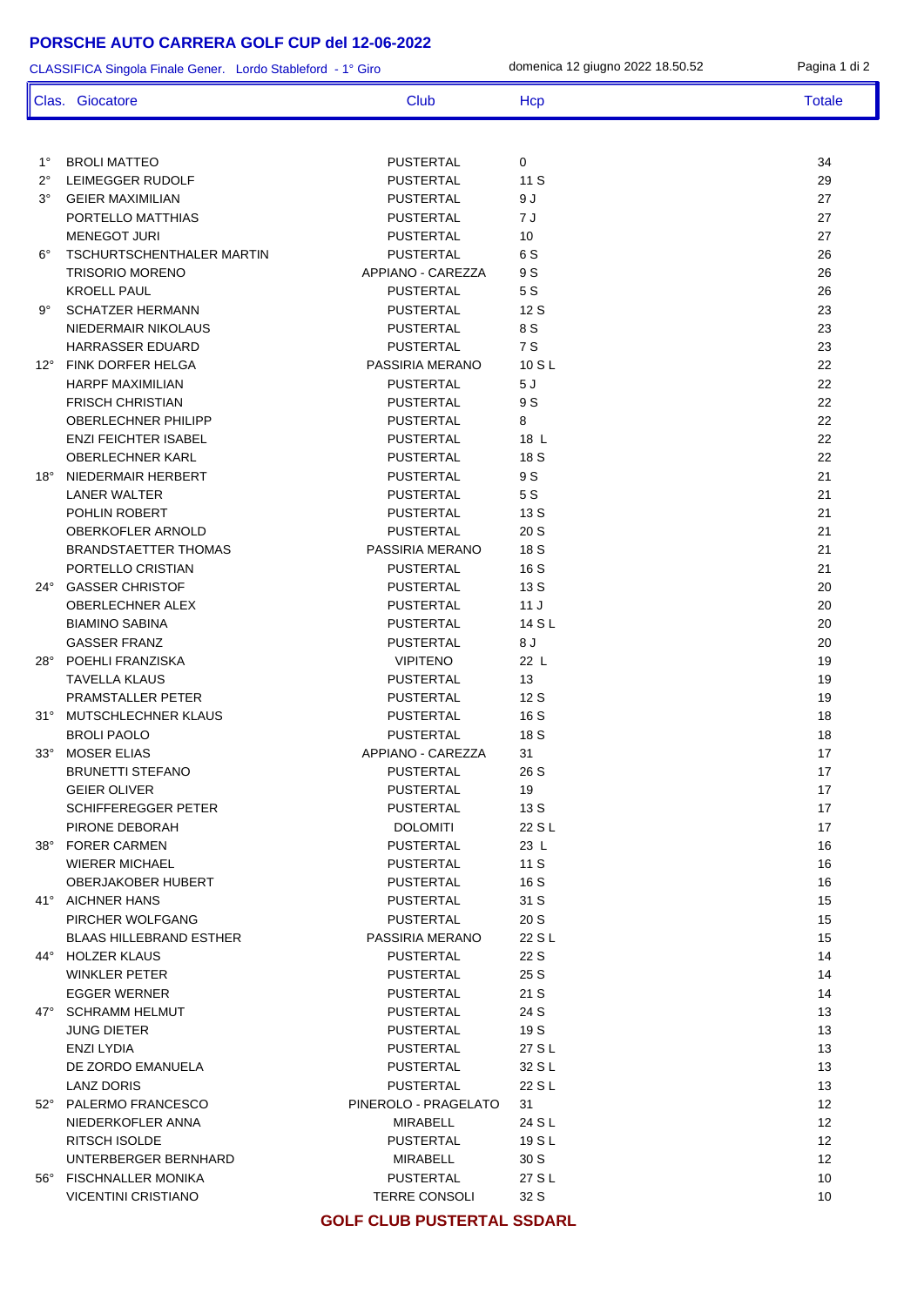## **PORSCHE AUTO CARRERA GOLF CUP del 12-06-2022**

| CLASSIFICA Singola Finale Gener. Lordo Stableford - 1° Giro |                                               |                                      | domenica 12 giugno 2022 18.50.52 | Pagina 1 di 2     |
|-------------------------------------------------------------|-----------------------------------------------|--------------------------------------|----------------------------------|-------------------|
|                                                             | Clas. Giocatore                               | Club                                 | Hcp                              | <b>Totale</b>     |
|                                                             |                                               |                                      |                                  |                   |
| $1^{\circ}$                                                 | <b>BROLI MATTEO</b>                           | <b>PUSTERTAL</b>                     | 0                                | 34                |
| $2^{\circ}$                                                 | LEIMEGGER RUDOLF                              | <b>PUSTERTAL</b>                     | 11S                              | 29                |
| $3^{\circ}$                                                 | <b>GEIER MAXIMILIAN</b>                       | <b>PUSTERTAL</b>                     | 9 J                              | 27                |
|                                                             | PORTELLO MATTHIAS                             | <b>PUSTERTAL</b>                     | 7 J                              | 27                |
|                                                             | <b>MENEGOT JURI</b>                           | <b>PUSTERTAL</b>                     | 10                               | 27                |
| $6^{\circ}$                                                 | <b>TSCHURTSCHENTHALER MARTIN</b>              | <b>PUSTERTAL</b>                     | 6 S                              | 26                |
|                                                             | <b>TRISORIO MORENO</b>                        | APPIANO - CAREZZA                    | 9 S                              | 26                |
|                                                             | <b>KROELL PAUL</b><br><b>SCHATZER HERMANN</b> | <b>PUSTERTAL</b><br><b>PUSTERTAL</b> | 5 S<br>12 S                      | 26<br>23          |
| 9°                                                          | NIEDERMAIR NIKOLAUS                           | <b>PUSTERTAL</b>                     | 8 S                              | 23                |
|                                                             | HARRASSER EDUARD                              | <b>PUSTERTAL</b>                     | 7 S                              | 23                |
|                                                             | 12° FINK DORFER HELGA                         | PASSIRIA MERANO                      | 10 S L                           | 22                |
|                                                             | <b>HARPF MAXIMILIAN</b>                       | <b>PUSTERTAL</b>                     | 5J                               | 22                |
|                                                             | <b>FRISCH CHRISTIAN</b>                       | <b>PUSTERTAL</b>                     | 9 S                              | 22                |
|                                                             | <b>OBERLECHNER PHILIPP</b>                    | <b>PUSTERTAL</b>                     | 8                                | 22                |
|                                                             | <b>ENZI FEICHTER ISABEL</b>                   | <b>PUSTERTAL</b>                     | 18 L                             | 22                |
|                                                             | OBERLECHNER KARL                              | <b>PUSTERTAL</b>                     | 18 S                             | 22                |
| 18°                                                         | NIEDERMAIR HERBERT                            | <b>PUSTERTAL</b>                     | 9 S                              | 21                |
|                                                             | <b>LANER WALTER</b>                           | <b>PUSTERTAL</b>                     | 5 S                              | 21                |
|                                                             | POHLIN ROBERT                                 | <b>PUSTERTAL</b>                     | 13 S                             | 21                |
|                                                             | OBERKOFLER ARNOLD                             | <b>PUSTERTAL</b>                     | 20S                              | 21                |
|                                                             | <b>BRANDSTAETTER THOMAS</b>                   | PASSIRIA MERANO                      | 18 S                             | 21                |
|                                                             | PORTELLO CRISTIAN                             | <b>PUSTERTAL</b>                     | 16 S                             | 21                |
|                                                             | 24° GASSER CHRISTOF                           | <b>PUSTERTAL</b>                     | 13 S                             | 20                |
|                                                             | OBERLECHNER ALEX                              | <b>PUSTERTAL</b>                     | 11J                              | 20                |
|                                                             | <b>BIAMINO SABINA</b>                         | <b>PUSTERTAL</b>                     | 14 S L                           | 20                |
|                                                             | <b>GASSER FRANZ</b>                           | <b>PUSTERTAL</b>                     | 8J                               | 20                |
| 28°                                                         | POEHLI FRANZISKA                              | <b>VIPITENO</b>                      | 22 L                             | 19                |
|                                                             | <b>TAVELLA KLAUS</b><br>PRAMSTALLER PETER     | <b>PUSTERTAL</b><br><b>PUSTERTAL</b> | 13<br>12 S                       | 19<br>19          |
|                                                             | 31° MUTSCHLECHNER KLAUS                       | <b>PUSTERTAL</b>                     | 16 S                             | 18                |
|                                                             | <b>BROLI PAOLO</b>                            | <b>PUSTERTAL</b>                     | 18 S                             | 18                |
| $33^\circ$                                                  | <b>MOSER ELIAS</b>                            | APPIANO - CAREZZA                    | 31                               | $17$              |
|                                                             | <b>BRUNETTI STEFANO</b>                       | PUSTERTAL                            | 26 S                             | 17                |
|                                                             | <b>GEIER OLIVER</b>                           | PUSTERTAL                            | 19                               | 17                |
|                                                             | <b>SCHIFFEREGGER PETER</b>                    | PUSTERTAL                            | 13 S                             | 17                |
|                                                             | PIRONE DEBORAH                                | DOLOMITI                             | 22 S L                           | 17                |
|                                                             | 38° FORER CARMEN                              | PUSTERTAL                            | 23 L                             | 16                |
|                                                             | <b>WIERER MICHAEL</b>                         | PUSTERTAL                            | 11S                              | 16                |
|                                                             | OBERJAKOBER HUBERT                            | PUSTERTAL                            | 16 S                             | 16                |
|                                                             | 41° AICHNER HANS                              | PUSTERTAL                            | 31 S                             | 15                |
|                                                             | PIRCHER WOLFGANG                              | PUSTERTAL                            | 20 S                             | 15                |
|                                                             | <b>BLAAS HILLEBRAND ESTHER</b>                | PASSIRIA MERANO                      | 22 S L                           | 15                |
|                                                             | 44° HOLZER KLAUS                              | <b>PUSTERTAL</b>                     | 22 S                             | 14                |
|                                                             | WINKLER PETER                                 | PUSTERTAL                            | 25 S                             | 14                |
|                                                             | <b>EGGER WERNER</b>                           | PUSTERTAL                            | 21 S                             | 14                |
|                                                             | 47° SCHRAMM HELMUT                            | PUSTERTAL                            | 24 S                             | 13                |
|                                                             | JUNG DIETER                                   | PUSTERTAL                            | 19 S                             | 13<br>13          |
|                                                             | ENZI LYDIA                                    | PUSTERTAL                            | 27 S L<br>32 S L                 | 13                |
|                                                             | DE ZORDO EMANUELA<br>LANZ DORIS               | PUSTERTAL<br>PUSTERTAL               | 22 S L                           | 13                |
|                                                             | 52° PALERMO FRANCESCO                         | PINEROLO - PRAGELATO                 | 31                               | $12 \overline{ }$ |
|                                                             | NIEDERKOFLER ANNA                             | MIRABELL                             | 24 S L                           | $12 \overline{ }$ |
|                                                             | RITSCH ISOLDE                                 | PUSTERTAL                            | 19 S L                           | $12 \overline{ }$ |
|                                                             | UNTERBERGER BERNHARD                          | MIRABELL                             | 30S                              | $12 \overline{ }$ |
|                                                             | 56° FISCHNALLER MONIKA                        | PUSTERTAL                            | 27 S L                           | 10                |
|                                                             | <b>VICENTINI CRISTIANO</b>                    | TERRE CONSOLI                        | 32 S                             | 10                |
|                                                             |                                               |                                      |                                  |                   |

**GOLF CLUB PUSTERTAL SSDARL**